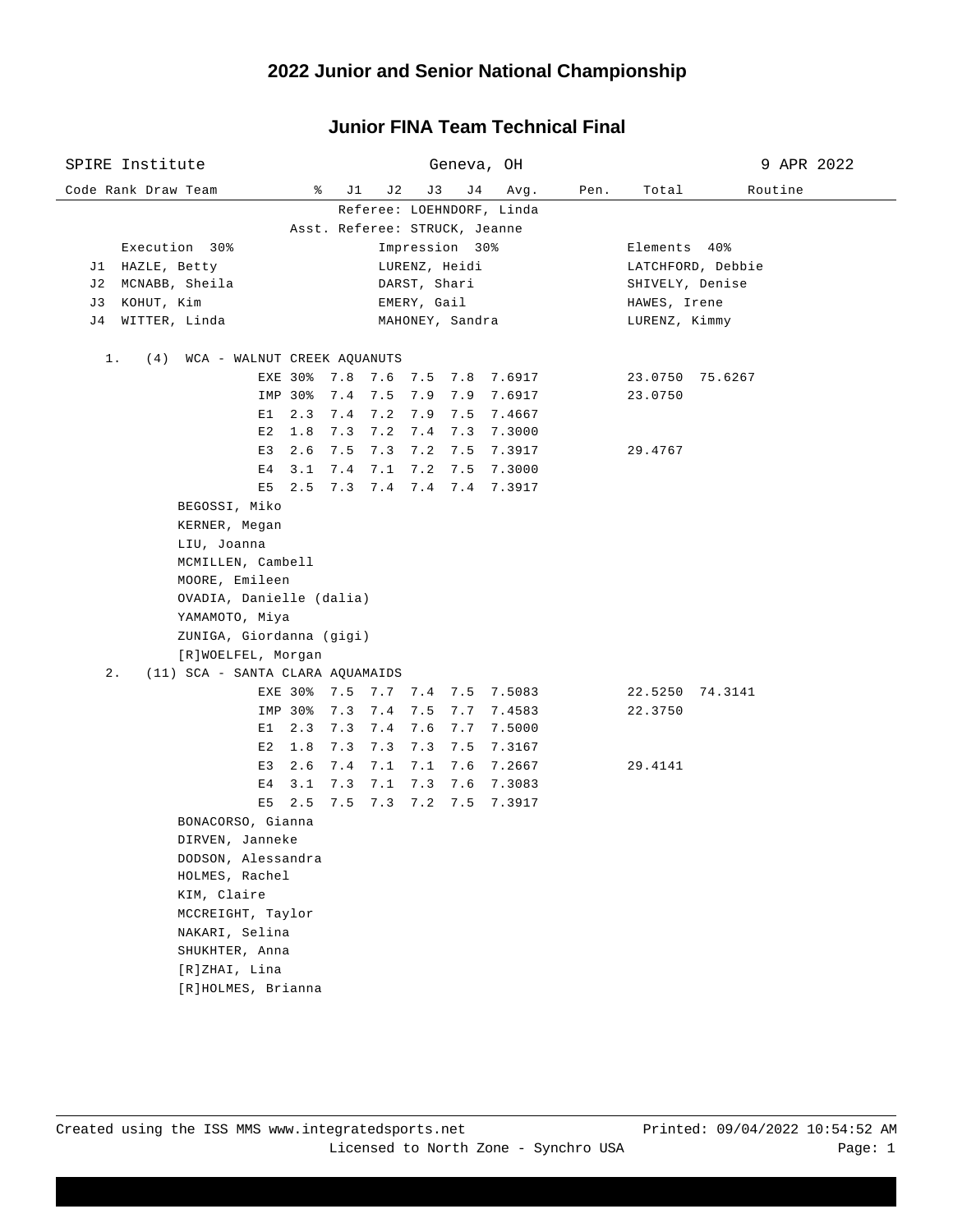|       | SPIRE Institute                  |                             |             |     |             |                         |     | Geneva, OH                     |      |                 | 9 APR 2022        |  |
|-------|----------------------------------|-----------------------------|-------------|-----|-------------|-------------------------|-----|--------------------------------|------|-----------------|-------------------|--|
|       | Code Rank Draw Team              |                             | နွ          | J1  | J 2         | J3                      | J 4 | Avg.                           | Pen. | Total           | Routine           |  |
|       |                                  |                             |             |     |             |                         |     | Referee: LOEHNDORF, Linda      |      |                 |                   |  |
|       |                                  |                             |             |     |             |                         |     | Asst. Referee: STRUCK, Jeanne  |      |                 |                   |  |
|       | Execution 30%                    |                             |             |     |             | Impression 30%          |     |                                |      | Elements 40%    |                   |  |
|       | J1 HAZLE, Betty                  |                             |             |     |             | LURENZ, Heidi           |     |                                |      |                 | LATCHFORD, Debbie |  |
| J 2   | MCNABB, Sheila                   |                             |             |     |             | DARST, Shari            |     |                                |      | SHIVELY, Denise |                   |  |
| J 3   | KOHUT, Kim                       |                             |             |     |             | EMERY, Gail             |     |                                |      | HAWES, Irene    |                   |  |
| J 4   | WITTER, Linda                    |                             |             |     |             | MAHONEY, Sandra         |     |                                |      | LURENZ, Kimmy   |                   |  |
| 1.    | (4)                              | WCA - WALNUT CREEK AQUANUTS |             |     |             |                         |     |                                |      |                 |                   |  |
|       |                                  |                             |             |     |             | EXE 30% 7.8 7.6 7.5 7.8 |     | 7.6917                         |      |                 | 23.0750 75.6267   |  |
|       |                                  |                             | IMP 30% 7.4 |     |             | 7.5 7.9 7.9             |     | 7.6917                         |      | 23.0750         |                   |  |
|       |                                  | E1                          | 2.3         | 7.4 | $7.2$ $7.9$ |                         | 7.5 | 7.4667                         |      |                 |                   |  |
|       |                                  | E 2                         | 1.8         | 7.3 |             | $7.2$ $7.4$             | 7.3 | 7.3000                         |      |                 |                   |  |
|       |                                  | E3                          | 2.6         | 7.5 |             | $7.3$ $7.2$             | 7.5 | 7.3917                         |      | 29.4767         |                   |  |
|       |                                  | Е4                          | 3.1         | 7.4 | 7.1         | 7.2                     | 7.5 | 7.3000                         |      |                 |                   |  |
|       |                                  | E5                          | 2.5         | 7.3 |             | 7.4 7.4 7.4             |     | 7.3917                         |      |                 |                   |  |
|       | BEGOSSI, Miko                    |                             |             |     |             |                         |     |                                |      |                 |                   |  |
|       | KERNER, Megan                    |                             |             |     |             |                         |     |                                |      |                 |                   |  |
|       | LIU, Joanna                      |                             |             |     |             |                         |     |                                |      |                 |                   |  |
|       |                                  | MCMILLEN, Cambell           |             |     |             |                         |     |                                |      |                 |                   |  |
|       |                                  | MOORE, Emileen              |             |     |             |                         |     |                                |      |                 |                   |  |
|       |                                  | OVADIA, Danielle (dalia)    |             |     |             |                         |     |                                |      |                 |                   |  |
|       |                                  | ҮАМАМОТО, Міуа              |             |     |             |                         |     |                                |      |                 |                   |  |
|       |                                  | ZUNIGA, Giordanna (gigi)    |             |     |             |                         |     |                                |      |                 |                   |  |
|       |                                  | [R]WOELFEL, Morgan          |             |     |             |                         |     |                                |      |                 |                   |  |
| $2$ . | (11) SCA - SANTA CLARA AQUAMAIDS |                             |             |     |             |                         |     |                                |      |                 |                   |  |
|       |                                  |                             |             |     |             |                         |     | EXE 30% 7.5 7.7 7.4 7.5 7.5083 |      |                 | 22.5250 74.3141   |  |
|       |                                  |                             | IMP 30%     | 7.3 | 7.4         | 7.5                     | 7.7 | 7.4583                         |      | 22.3750         |                   |  |
|       |                                  | Е1                          | 2.3         | 7.3 | 7.4         | 7.6                     | 7.7 | 7.5000                         |      |                 |                   |  |
|       |                                  | E2                          | 1.8         | 7.3 | 7.3         | 7.3                     | 7.5 | 7.3167                         |      |                 |                   |  |
|       |                                  | E3                          | 2.6         | 7.4 | 7.1         | 7.1                     | 7.6 | 7.2667                         |      | 29.4141         |                   |  |
|       |                                  | E4                          | 3.1         | 7.3 | 7.1         | 7.3                     | 7.6 | 7.3083                         |      |                 |                   |  |
|       |                                  | E5                          | 2.5         | 7.5 |             | $7.3$ $7.2$             | 7.5 | 7.3917                         |      |                 |                   |  |
|       |                                  | BONACORSO, Gianna           |             |     |             |                         |     |                                |      |                 |                   |  |
|       |                                  | DIRVEN, Janneke             |             |     |             |                         |     |                                |      |                 |                   |  |
|       |                                  | DODSON, Alessandra          |             |     |             |                         |     |                                |      |                 |                   |  |
|       |                                  | HOLMES, Rachel              |             |     |             |                         |     |                                |      |                 |                   |  |
|       | KIM, Claire                      |                             |             |     |             |                         |     |                                |      |                 |                   |  |
|       |                                  | MCCREIGHT, Taylor           |             |     |             |                         |     |                                |      |                 |                   |  |
|       |                                  | NAKARI, Selina              |             |     |             |                         |     |                                |      |                 |                   |  |
|       |                                  | SHUKHTER, Anna              |             |     |             |                         |     |                                |      |                 |                   |  |
|       |                                  | [R]ZHAI, Lina               |             |     |             |                         |     |                                |      |                 |                   |  |
|       |                                  | [R]HOLMES, Brianna          |             |     |             |                         |     |                                |      |                 |                   |  |

#### **Junior FINA Team Technical Final**

 $\overline{\phantom{0}}$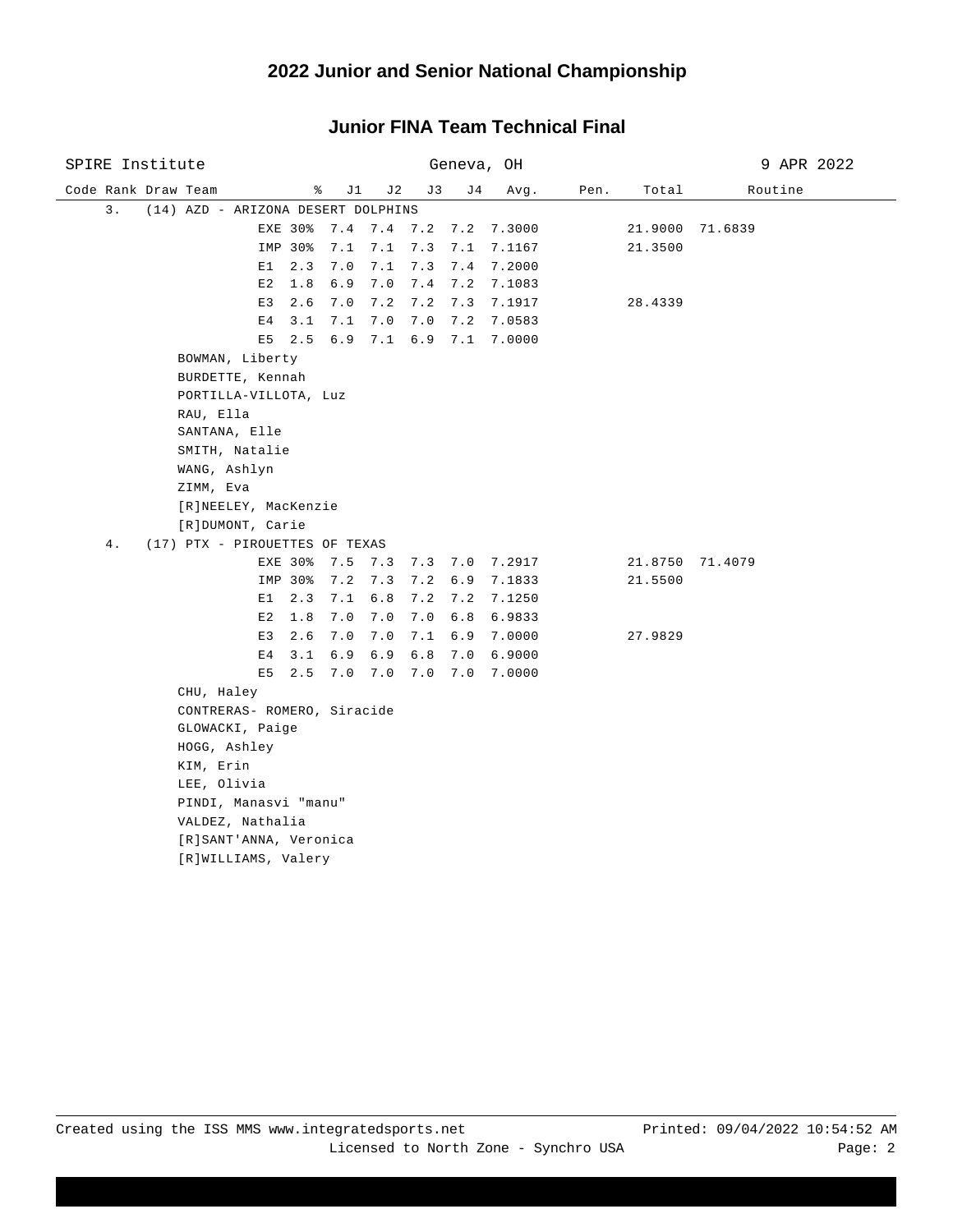| SPIRE Institute                          |                                      |             | Geneva, OH  |                    | 9 APR 2022 |  |  |  |  |
|------------------------------------------|--------------------------------------|-------------|-------------|--------------------|------------|--|--|--|--|
| Code Rank Draw Team                      | ႜ<br>J1<br>J2                        | J3          | J 4<br>Avg. | Pen.<br>Total      | Routine    |  |  |  |  |
| 3.<br>(14) AZD - ARIZONA DESERT DOLPHINS |                                      |             |             |                    |            |  |  |  |  |
| EXE 30%                                  | 7.4 7.4 7.2 7.2                      |             | 7.3000      | 21.9000            | 71.6839    |  |  |  |  |
| IMP 30%                                  | 7.1<br>7.1                           | 7.3<br>7.1  | 7.1167      | 21.3500            |            |  |  |  |  |
| E1<br>2.3                                | 7.0<br>7.1                           | 7.3<br>7.4  | 7.2000      |                    |            |  |  |  |  |
| E2<br>1.8                                | 6.9<br>7.0                           | $7.4$ 7.2   | 7.1083      |                    |            |  |  |  |  |
| E3<br>2.6                                | 7.0<br>7.2                           | 7.2<br>7.3  | 7.1917      | 28.4339            |            |  |  |  |  |
| 3.1<br>Е4                                | 7.1<br>7.0                           | 7.0<br>7.2  | 7.0583      |                    |            |  |  |  |  |
| 2.5<br>E5                                | 6.9<br>7.1                           | $6.9$ $7.1$ | 7.0000      |                    |            |  |  |  |  |
| BOWMAN, Liberty                          |                                      |             |             |                    |            |  |  |  |  |
| BURDETTE, Kennah                         |                                      |             |             |                    |            |  |  |  |  |
| PORTILLA-VILLOTA, Luz                    |                                      |             |             |                    |            |  |  |  |  |
| RAU, Ella                                |                                      |             |             |                    |            |  |  |  |  |
| SANTANA, Elle                            |                                      |             |             |                    |            |  |  |  |  |
| SMITH, Natalie                           |                                      |             |             |                    |            |  |  |  |  |
| WANG, Ashlyn                             |                                      |             |             |                    |            |  |  |  |  |
| ZIMM, Eva                                |                                      |             |             |                    |            |  |  |  |  |
| [R]NEELEY, MacKenzie                     |                                      |             |             |                    |            |  |  |  |  |
| [R]DUMONT, Carie                         |                                      |             |             |                    |            |  |  |  |  |
| 4.<br>(17) PTX - PIROUETTES OF TEXAS     |                                      |             |             |                    |            |  |  |  |  |
| EXE 30%<br>IMP 30%                       | 7.5 7.3 7.3 7.0 7.2917<br>7.2<br>7.3 | 7.2 6.9     | 7.1833      | 21.8750<br>21.5500 | 71.4079    |  |  |  |  |
| E1<br>2.3                                | 7.1<br>6.8                           | $7.2$ $7.2$ | 7.1250      |                    |            |  |  |  |  |
| E2<br>1.8                                | 7.0<br>7.0                           | $7.0 \t6.8$ | 6.9833      |                    |            |  |  |  |  |
| E3<br>2.6                                | 7.0<br>7.0                           | 7.1<br>6.9  | 7.0000      | 27.9829            |            |  |  |  |  |
| 3.1<br>Е4                                | 6.9<br>6.9                           | 6.8<br>7.0  | 6.9000      |                    |            |  |  |  |  |
| E <sub>5</sub><br>2.5                    | 7.0<br>7.0                           | 7.0<br>7.0  | 7.0000      |                    |            |  |  |  |  |
| CHU, Haley                               |                                      |             |             |                    |            |  |  |  |  |
| CONTRERAS- ROMERO, Siracide              |                                      |             |             |                    |            |  |  |  |  |
| GLOWACKI, Paige                          |                                      |             |             |                    |            |  |  |  |  |
| HOGG, Ashley                             |                                      |             |             |                    |            |  |  |  |  |
| KIM, Erin                                |                                      |             |             |                    |            |  |  |  |  |
| LEE, Olivia                              |                                      |             |             |                    |            |  |  |  |  |
| PINDI, Manasvi "manu"                    |                                      |             |             |                    |            |  |  |  |  |
| VALDEZ, Nathalia                         |                                      |             |             |                    |            |  |  |  |  |
| [R]SANT'ANNA, Veronica                   |                                      |             |             |                    |            |  |  |  |  |
| [R]WILLIAMS, Valery                      |                                      |             |             |                    |            |  |  |  |  |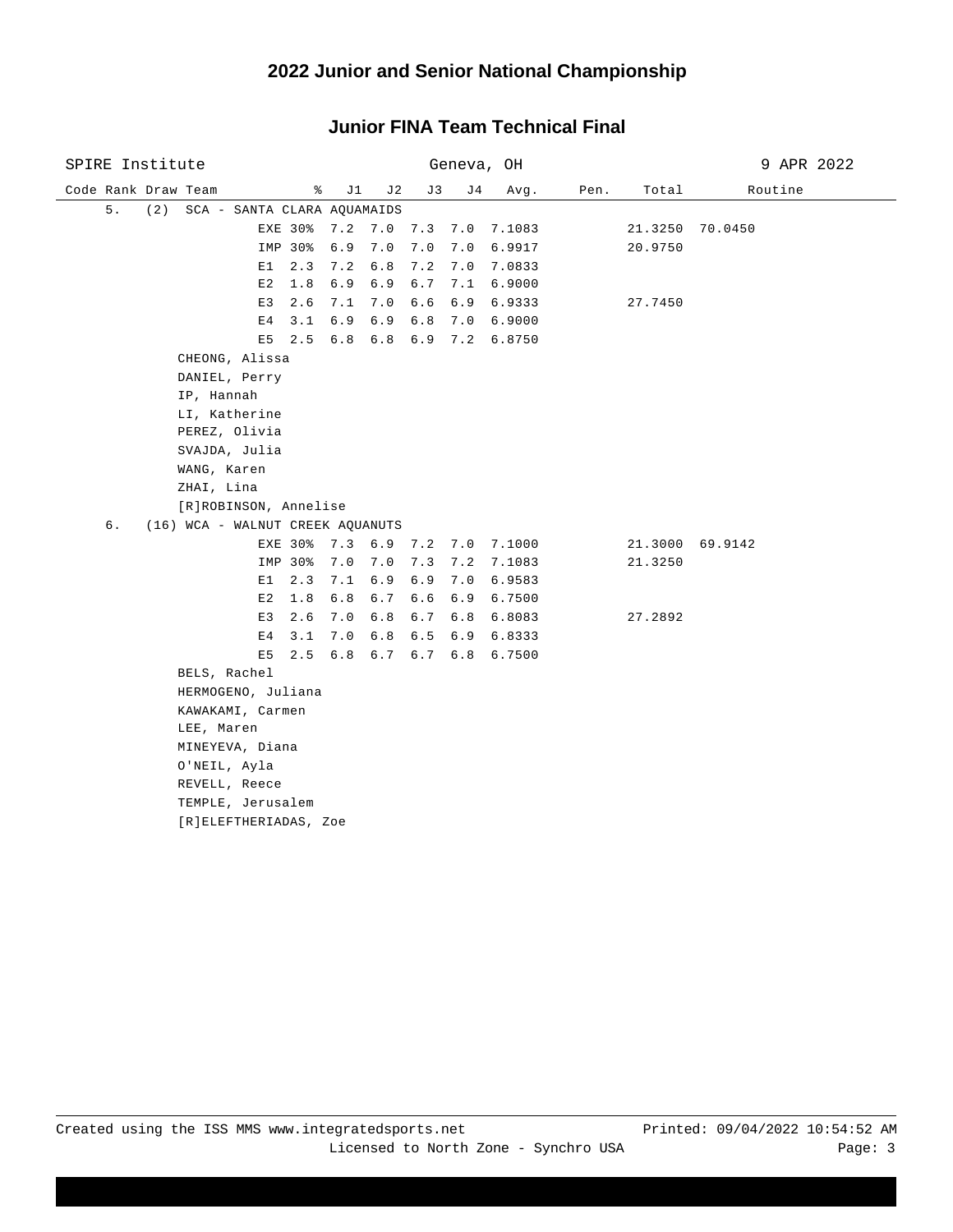| SPIRE Institute                          |              | Geneva, OH             |              |         | 9 APR 2022      |  |  |
|------------------------------------------|--------------|------------------------|--------------|---------|-----------------|--|--|
| Code Rank Draw Team<br>ိ                 | J1<br>J2     | J3<br>J 4              | Avg.<br>Pen. | Total   | Routine         |  |  |
| 5.<br>(2)<br>SCA - SANTA CLARA AQUAMAIDS |              |                        |              |         |                 |  |  |
| EXE 30%                                  |              | 7.2 7.0 7.3 7.0 7.1083 |              | 21.3250 | 70.0450         |  |  |
| IMP 30%                                  | $7.0$<br>6.9 | 7.0<br>7.0             | 6.9917       | 20.9750 |                 |  |  |
| 2.3<br>E1                                | 7.2<br>6.8   | 7.2<br>7.0             | 7.0833       |         |                 |  |  |
| E2<br>1.8                                | 6.9<br>6.9   | 6.7                    | 7.1 6.9000   |         |                 |  |  |
| E3<br>2.6                                | 7.0<br>7.1   | 6.6<br>6.9             | 6.9333       | 27.7450 |                 |  |  |
| 3.1<br>E4                                | 6.9<br>6.9   | $6.8$<br>7.0           | 6.9000       |         |                 |  |  |
| E5<br>2.5                                |              | 6.8 6.8 6.9 7.2 6.8750 |              |         |                 |  |  |
| CHEONG, Alissa                           |              |                        |              |         |                 |  |  |
| DANIEL, Perry                            |              |                        |              |         |                 |  |  |
| IP, Hannah                               |              |                        |              |         |                 |  |  |
| LI, Katherine                            |              |                        |              |         |                 |  |  |
| PEREZ, Olivia                            |              |                        |              |         |                 |  |  |
| SVAJDA, Julia                            |              |                        |              |         |                 |  |  |
| WANG, Karen                              |              |                        |              |         |                 |  |  |
| ZHAI, Lina                               |              |                        |              |         |                 |  |  |
| [R]ROBINSON, Annelise                    |              |                        |              |         |                 |  |  |
| б.<br>(16) WCA - WALNUT CREEK AQUANUTS   |              |                        |              |         |                 |  |  |
| EXE 30%                                  |              | 7.3 6.9 7.2 7.0 7.1000 |              |         | 21.3000 69.9142 |  |  |
| IMP 30%                                  | 7.0<br>7.0   | 7.3                    | 7.2 7.1083   | 21.3250 |                 |  |  |
| E1<br>2.3                                | 7.1          | 6.9 6.9 7.0 6.9583     |              |         |                 |  |  |
| E2<br>1.8                                | 6.8          | 6.7 6.6 6.9 6.7500     |              |         |                 |  |  |
| 2.6<br>E3                                | 7.0          | 6.8 6.7 6.8 6.8083     |              | 27.2892 |                 |  |  |
| E <sub>4</sub><br>3.1                    | 6.8<br>7.0   | $6.5$ $6.9$ $6.8333$   |              |         |                 |  |  |
| 2.5<br>E5                                |              | 6.8 6.7 6.7 6.8 6.7500 |              |         |                 |  |  |
| BELS, Rachel                             |              |                        |              |         |                 |  |  |
| HERMOGENO, Juliana                       |              |                        |              |         |                 |  |  |
| KAWAKAMI, Carmen                         |              |                        |              |         |                 |  |  |
| LEE, Maren                               |              |                        |              |         |                 |  |  |
| MINEYEVA, Diana                          |              |                        |              |         |                 |  |  |
| O'NEIL, Ayla                             |              |                        |              |         |                 |  |  |
| REVELL, Reece                            |              |                        |              |         |                 |  |  |
| TEMPLE, Jerusalem                        |              |                        |              |         |                 |  |  |
| [R]ELEFTHERIADAS, Zoe                    |              |                        |              |         |                 |  |  |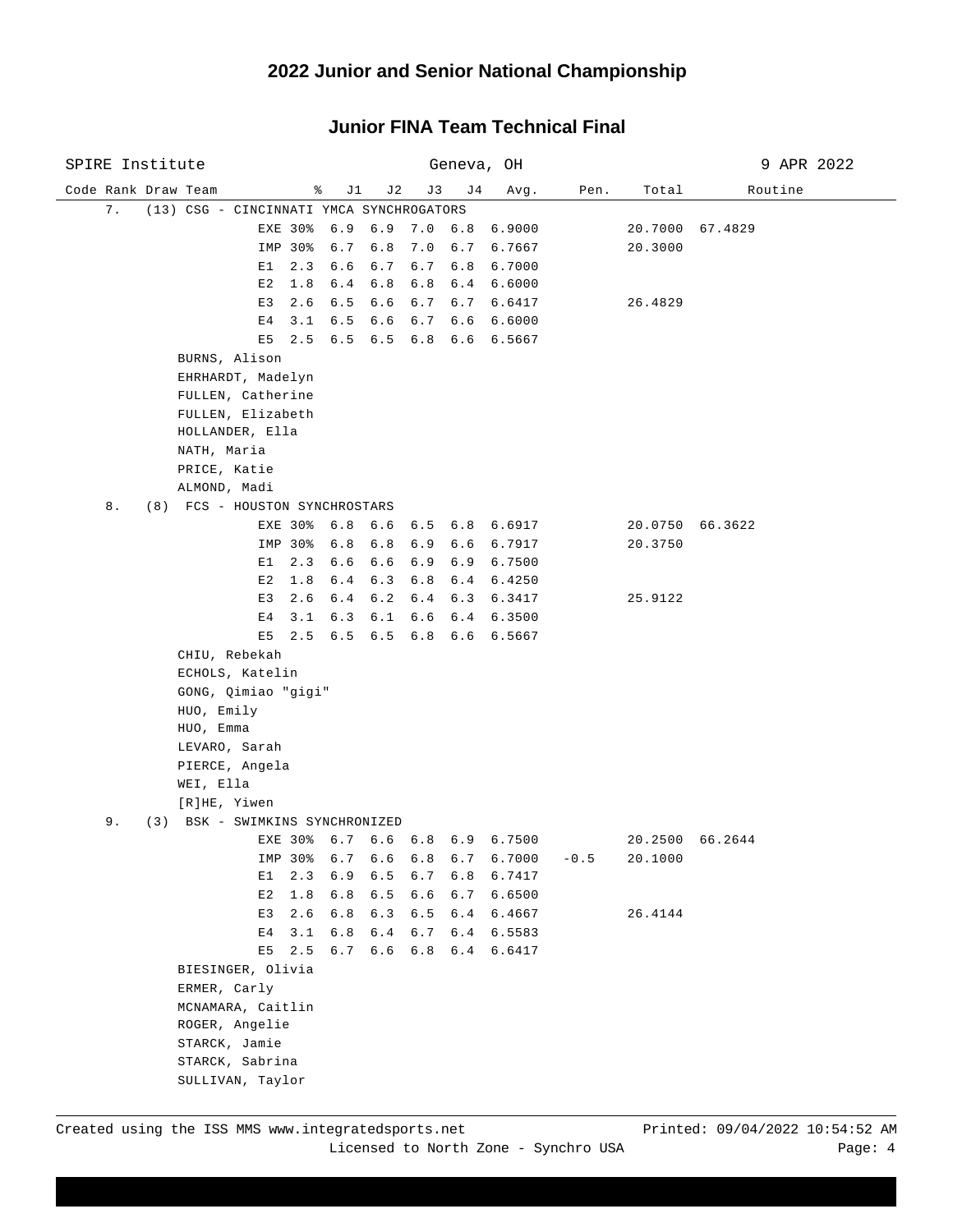| SPIRE Institute     |                                          |         |         |                 |         |         | Geneva, OH                     | 9 APR 2022 |         |                 |  |
|---------------------|------------------------------------------|---------|---------|-----------------|---------|---------|--------------------------------|------------|---------|-----------------|--|
| Code Rank Draw Team |                                          |         | ိ<br>J1 | J 2             | J3      | J 4     | Avg.                           | Pen.       | Total   | Routine         |  |
| 7.                  | (13) CSG - CINCINNATI YMCA SYNCHROGATORS |         |         |                 |         |         |                                |            |         |                 |  |
|                     |                                          | EXE 30% |         |                 |         |         | 6.9 6.9 7.0 6.8 6.9000         |            |         | 20.7000 67.4829 |  |
|                     |                                          | IMP 30% | 6.7     | 6.8             |         |         | 7.0 6.7 6.7667                 |            | 20.3000 |                 |  |
|                     | E1                                       | 2.3     | 6.6     | 6.7             | 6.7     | 6.8     | 6.7000                         |            |         |                 |  |
|                     | E2                                       | 1.8     | 6.4     | 6.8             |         |         | 6.8 6.4 6.6000                 |            |         |                 |  |
|                     | E3                                       | 2.6     | 6.5     | 6.6             |         |         | 6.7 6.7 6.6417                 |            | 26.4829 |                 |  |
|                     | E 4                                      | 3.1     |         | $6.5 \quad 6.6$ |         |         | $6.7$ $6.6$ $6.6000$           |            |         |                 |  |
|                     | E5                                       | 2.5     |         |                 |         |         | 6.5 6.5 6.8 6.6 6.5667         |            |         |                 |  |
|                     | BURNS, Alison                            |         |         |                 |         |         |                                |            |         |                 |  |
|                     | EHRHARDT, Madelyn                        |         |         |                 |         |         |                                |            |         |                 |  |
|                     | FULLEN, Catherine                        |         |         |                 |         |         |                                |            |         |                 |  |
|                     | FULLEN, Elizabeth                        |         |         |                 |         |         |                                |            |         |                 |  |
|                     | HOLLANDER, Ella                          |         |         |                 |         |         |                                |            |         |                 |  |
|                     | NATH, Maria                              |         |         |                 |         |         |                                |            |         |                 |  |
|                     | PRICE, Katie                             |         |         |                 |         |         |                                |            |         |                 |  |
|                     | ALMOND, Madi                             |         |         |                 |         |         |                                |            |         |                 |  |
| 8.                  | (8) FCS - HOUSTON SYNCHROSTARS           |         |         |                 |         |         |                                |            |         |                 |  |
|                     |                                          | EXE 30% | 6.8     | 6.6             |         |         | 6.5 6.8 6.6917                 |            |         | 20.0750 66.3622 |  |
|                     |                                          | IMP 30% | 6.8     | 6.8             | 6.9     | 6.6     | 6.7917                         |            | 20.3750 |                 |  |
|                     | E1                                       | 2.3     | $6.6$   | $6.6$           | 6.9     | 6.9     | 6.7500                         |            |         |                 |  |
|                     | E2                                       | 1.8     | 6.4     | 6.3             | 6.8     | 6.4     | 6.4250                         |            |         |                 |  |
|                     | E <sub>3</sub>                           | 2.6     | 6.4     | 6.2             | 6.4     | 6.3     | 6.3417                         |            | 25.9122 |                 |  |
|                     | E 4                                      | 3.1     | 6.3     | 6.1             | 6.6     |         | 6.4 6.3500                     |            |         |                 |  |
|                     |                                          | E5 2.5  |         | $6.5 \t 6.5$    |         |         | 6.8 6.6 6.5667                 |            |         |                 |  |
|                     | CHIU, Rebekah                            |         |         |                 |         |         |                                |            |         |                 |  |
|                     | ECHOLS, Katelin                          |         |         |                 |         |         |                                |            |         |                 |  |
|                     | GONG, Qimiao "gigi"                      |         |         |                 |         |         |                                |            |         |                 |  |
|                     | HUO, Emily                               |         |         |                 |         |         |                                |            |         |                 |  |
|                     | HUO, Emma                                |         |         |                 |         |         |                                |            |         |                 |  |
|                     | LEVARO, Sarah                            |         |         |                 |         |         |                                |            |         |                 |  |
|                     | PIERCE, Angela                           |         |         |                 |         |         |                                |            |         |                 |  |
|                     | WEI, Ella                                |         |         |                 |         |         |                                |            |         |                 |  |
|                     | [R]HE, Yiwen                             |         |         |                 |         |         |                                |            |         |                 |  |
| 9.                  | (3) BSK - SWIMKINS SYNCHRONIZED          |         |         |                 |         |         |                                |            |         |                 |  |
|                     |                                          |         |         |                 |         |         | EXE 30% 6.7 6.6 6.8 6.9 6.7500 |            |         | 20.2500 66.2644 |  |
|                     |                                          | IMP 30% | $6.7\,$ | $6.6\,$         | $6.8\,$ | $6.7\,$ | 6.7000                         | $-0.5$     | 20.1000 |                 |  |
|                     | E1                                       | 2.3     | 6.9     | 6.5             | 6.7     | 6.8     | 6.7417                         |            |         |                 |  |
|                     | E2                                       | 1.8     | 6.8     | 6.5             | 6.6     | 6.7     | 6.6500                         |            |         |                 |  |
|                     | E <sub>3</sub>                           | 2.6     | 6.8     | 6.3             | 6.5     |         | 6.4 6.4667                     |            | 26.4144 |                 |  |
|                     | E4                                       | 3.1     | 6.8     | 6.4             | 6.7     |         | 6.4 6.5583                     |            |         |                 |  |
|                     | E5                                       | 2.5     | 6.7     | 6.6             | 6.8     |         | 6.4 6.6417                     |            |         |                 |  |
|                     | BIESINGER, Olivia                        |         |         |                 |         |         |                                |            |         |                 |  |
|                     | ERMER, Carly                             |         |         |                 |         |         |                                |            |         |                 |  |
|                     | MCNAMARA, Caitlin                        |         |         |                 |         |         |                                |            |         |                 |  |
|                     | ROGER, Angelie<br>STARCK, Jamie          |         |         |                 |         |         |                                |            |         |                 |  |
|                     | STARCK, Sabrina                          |         |         |                 |         |         |                                |            |         |                 |  |
|                     |                                          |         |         |                 |         |         |                                |            |         |                 |  |
|                     | SULLIVAN, Taylor                         |         |         |                 |         |         |                                |            |         |                 |  |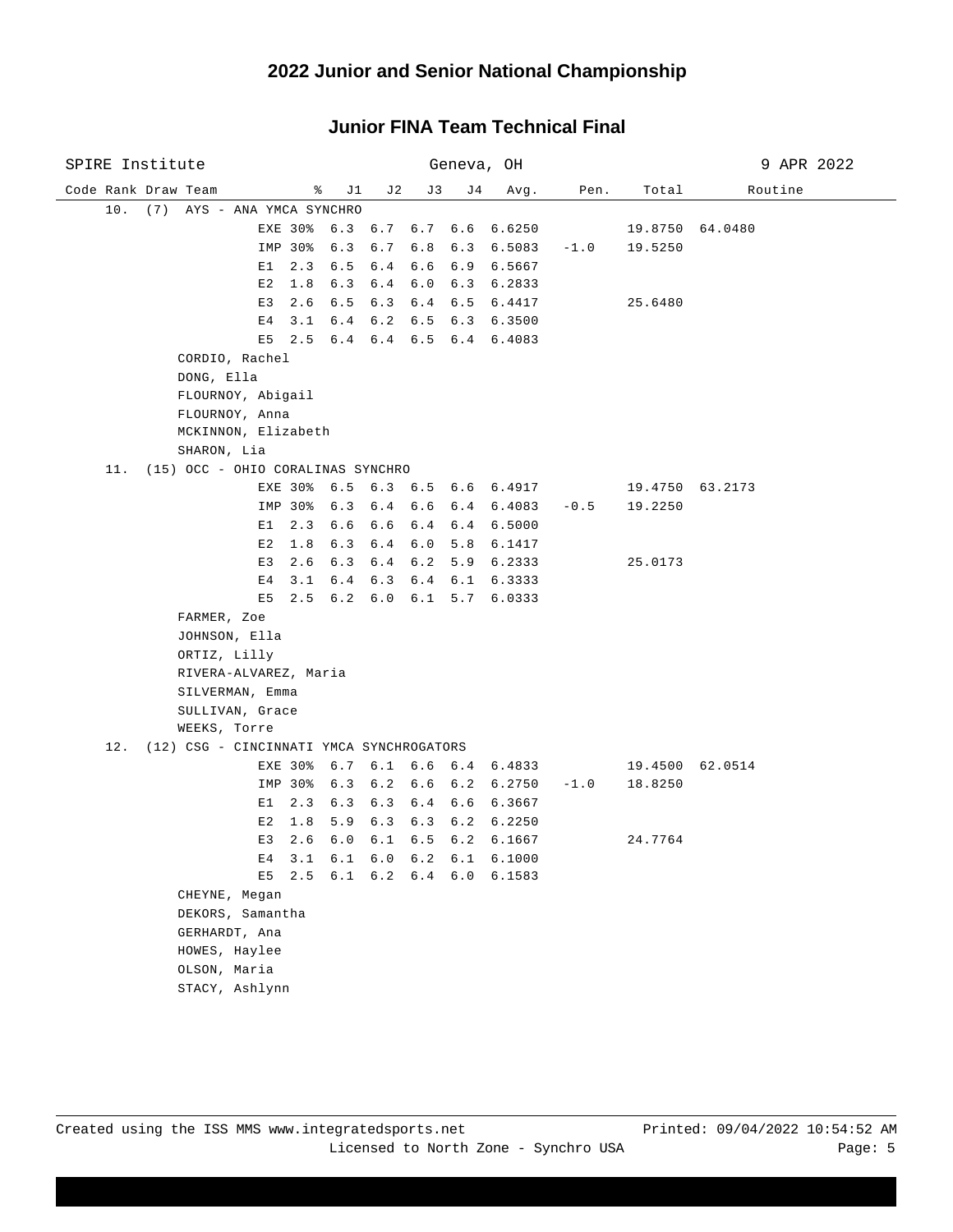| SPIRE Institute                              |                   | Geneva, OH                     |                   | 9 APR 2022      |  |  |
|----------------------------------------------|-------------------|--------------------------------|-------------------|-----------------|--|--|
| Code Rank Draw Team<br>ိေ<br>J 1             | J 2<br>J3         | J 4<br>Avg.                    | Pen.<br>Total     | Routine         |  |  |
| 10.<br>(7) AYS - ANA YMCA SYNCHRO            |                   |                                |                   |                 |  |  |
| EXE 30%                                      | 6.3 6.7           | 6.7 6.6<br>6.6250              |                   | 19.8750 64.0480 |  |  |
| IMP 30%<br>6.3                               | 6.7<br>6.8        | 6.3<br>6.5083                  | $-1.0$<br>19.5250 |                 |  |  |
| 2.3<br>E1<br>6.5                             | $6.4$<br>6.6      | 6.9<br>6.5667                  |                   |                 |  |  |
| E2<br>1.8<br>6.3                             | $6\cdot 4$<br>6.0 | 6.3<br>6.2833                  |                   |                 |  |  |
| E3<br>2.6<br>6.5                             | 6.3               | $6.4 \t6.5$<br>6.4417          | 25.6480           |                 |  |  |
| E4<br>3.1<br>6.4                             | 6.2               | $6.5 \t6.3$<br>6.3500          |                   |                 |  |  |
| $E5$ 2.5                                     |                   | 6.4 6.4 6.5 6.4 6.4083         |                   |                 |  |  |
| CORDIO, Rachel                               |                   |                                |                   |                 |  |  |
| DONG, Ella                                   |                   |                                |                   |                 |  |  |
| FLOURNOY, Abigail                            |                   |                                |                   |                 |  |  |
| FLOURNOY, Anna                               |                   |                                |                   |                 |  |  |
| MCKINNON, Elizabeth                          |                   |                                |                   |                 |  |  |
| SHARON, Lia                                  |                   |                                |                   |                 |  |  |
| (15) OCC - OHIO CORALINAS SYNCHRO<br>11.     |                   |                                |                   |                 |  |  |
|                                              |                   | EXE 30% 6.5 6.3 6.5 6.6 6.4917 |                   | 19.4750 63.2173 |  |  |
| IMP 30%<br>6.3                               | 6.4<br>6.6        | 6.4<br>6.4083                  | $-0.5$<br>19.2250 |                 |  |  |
| E1<br>2.3<br>6.6                             | 6.6               | $6.4 \t6.4$<br>6.5000          |                   |                 |  |  |
| E2<br>1.8<br>6.3                             | 6.0<br>6.4        | 5.8<br>6.1417                  |                   |                 |  |  |
| 2.6<br>E3<br>6.3                             | $6.4$             | 6.2 5.9<br>6.2333              | 25.0173           |                 |  |  |
| 3.1<br>6.4<br>Е4                             | 6.3               | $6.4 \t6.1$<br>6.3333          |                   |                 |  |  |
| E5<br>$2.5 \t6.2 \t6.0$                      |                   | $6.1 \quad 5.7$<br>6.0333      |                   |                 |  |  |
| FARMER, Zoe                                  |                   |                                |                   |                 |  |  |
| JOHNSON, Ella                                |                   |                                |                   |                 |  |  |
| ORTIZ, Lilly<br>RIVERA-ALVAREZ, Maria        |                   |                                |                   |                 |  |  |
| SILVERMAN, Emma                              |                   |                                |                   |                 |  |  |
| SULLIVAN, Grace                              |                   |                                |                   |                 |  |  |
| WEEKS, Torre                                 |                   |                                |                   |                 |  |  |
| 12. (12) CSG - CINCINNATI YMCA SYNCHROGATORS |                   |                                |                   |                 |  |  |
| 6.7<br>EXE 30%                               |                   | $6.1$ $6.6$ $6.4$ $6.4833$     |                   | 19.4500 62.0514 |  |  |
| IMP 30%<br>6.3                               | 6.2               | $6.6 \t6.2$<br>6.2750          | $-1.0$<br>18.8250 |                 |  |  |
| 2.3<br>6.3<br>E1                             | 6.3               | 6.4 6.6<br>6.3667              |                   |                 |  |  |
| 1.8<br>5.9<br>Е2                             | 6.3               | $6.3 \t6.2$<br>6.2250          |                   |                 |  |  |
| 2.6<br>6.0<br>E3                             | 6.1               | $6.5 \t 6.2$<br>6.1667         | 24.7764           |                 |  |  |
| E4 3.1 6.1 6.0 6.2 6.1                       |                   | 6.1000                         |                   |                 |  |  |
|                                              |                   | E5 2.5 6.1 6.2 6.4 6.0 6.1583  |                   |                 |  |  |
| CHEYNE, Megan                                |                   |                                |                   |                 |  |  |
| DEKORS, Samantha                             |                   |                                |                   |                 |  |  |
| GERHARDT, Ana                                |                   |                                |                   |                 |  |  |
| HOWES, Haylee                                |                   |                                |                   |                 |  |  |
| OLSON, Maria                                 |                   |                                |                   |                 |  |  |
| STACY, Ashlynn                               |                   |                                |                   |                 |  |  |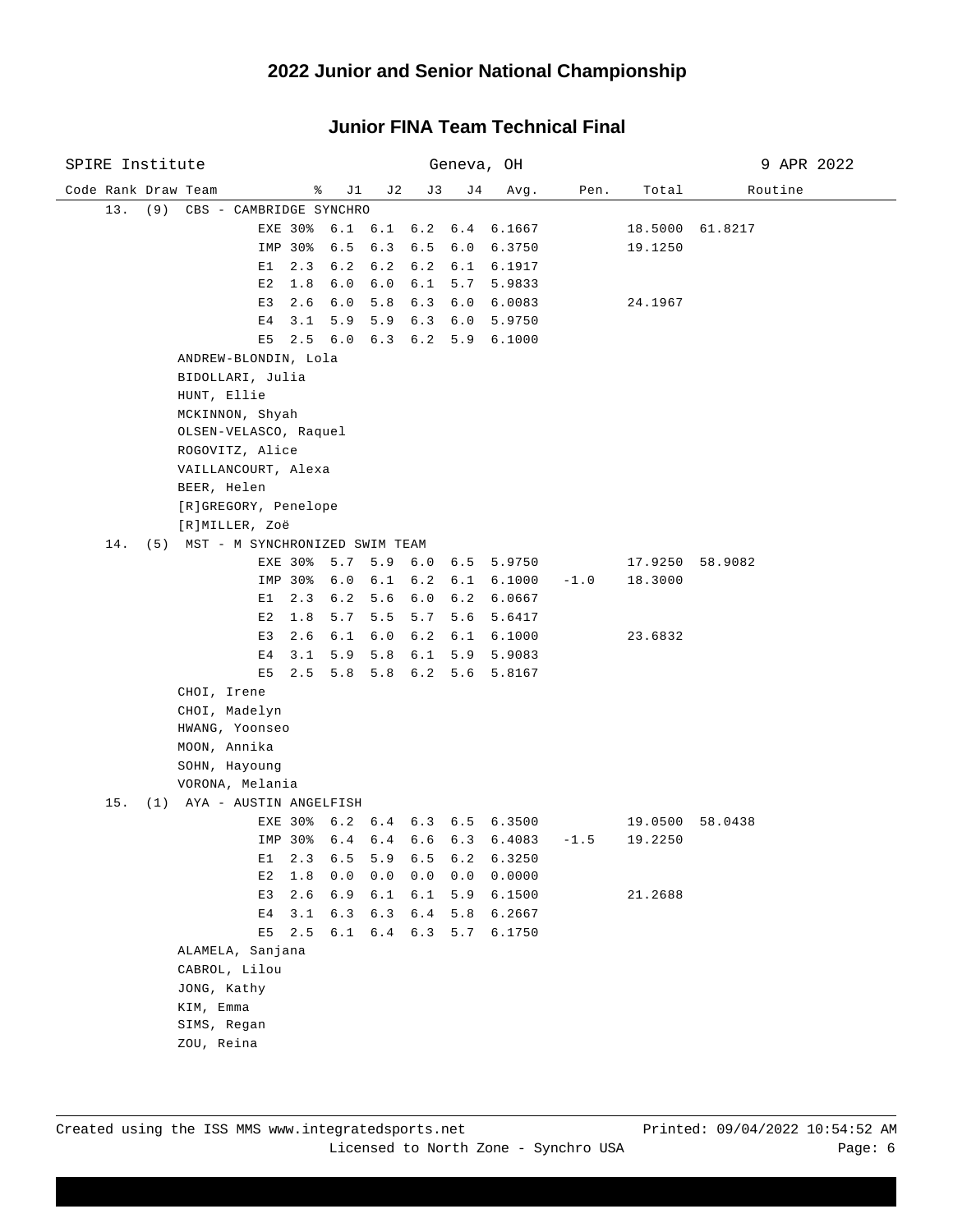| SPIRE Institute     |                                     |                | Geneva, OH     |                 |                |                 |                                |        | 9 APR 2022 |                 |  |
|---------------------|-------------------------------------|----------------|----------------|-----------------|----------------|-----------------|--------------------------------|--------|------------|-----------------|--|
| Code Rank Draw Team |                                     |                | ိ<br>J 1       | J 2             | J3             | J 4             | Avg.                           | Pen.   | Total      | Routine         |  |
|                     | 13. (9) CBS - CAMBRIDGE SYNCHRO     |                |                |                 |                |                 |                                |        |            |                 |  |
|                     |                                     |                |                |                 |                |                 | EXE 30% 6.1 6.1 6.2 6.4 6.1667 |        |            | 18.5000 61.8217 |  |
|                     |                                     | IMP 30%        | 6.5            | 6.3             | 6.5 6.0        |                 | 6.3750                         |        | 19.1250    |                 |  |
|                     | E1                                  | 2.3            | 6.2            | 6.2             |                |                 | 6.2 6.1 6.1917                 |        |            |                 |  |
|                     | E2                                  | 1.8            | 6.0            | 6.0             | 6.1            | 5.7             | 5.9833                         |        |            |                 |  |
|                     | E3                                  | 2.6            | 6.0            | 5.8             |                | 6.3 6.0         | 6.0083                         |        | 24.1967    |                 |  |
|                     | Ε4                                  | 3.1            | 5.9            | 5.9             |                |                 | 6.3 6.0 5.9750                 |        |            |                 |  |
|                     | E5                                  | $2.5 \t 6.0$   |                |                 |                |                 | 6.3 6.2 5.9 6.1000             |        |            |                 |  |
|                     | ANDREW-BLONDIN, Lola                |                |                |                 |                |                 |                                |        |            |                 |  |
|                     | BIDOLLARI, Julia                    |                |                |                 |                |                 |                                |        |            |                 |  |
|                     | HUNT, Ellie                         |                |                |                 |                |                 |                                |        |            |                 |  |
|                     | MCKINNON, Shyah                     |                |                |                 |                |                 |                                |        |            |                 |  |
|                     | OLSEN-VELASCO, Raquel               |                |                |                 |                |                 |                                |        |            |                 |  |
|                     | ROGOVITZ, Alice                     |                |                |                 |                |                 |                                |        |            |                 |  |
|                     | VAILLANCOURT, Alexa                 |                |                |                 |                |                 |                                |        |            |                 |  |
|                     | BEER, Helen<br>[R]GREGORY, Penelope |                |                |                 |                |                 |                                |        |            |                 |  |
|                     | [R]MILLER, Zoë                      |                |                |                 |                |                 |                                |        |            |                 |  |
| 14.                 | (5) MST - M SYNCHRONIZED SWIM TEAM  |                |                |                 |                |                 |                                |        |            |                 |  |
|                     |                                     | EXE 30%        | 5.7            | 5.9             |                | $6.0 \t6.5$     | 5.9750                         |        |            | 17.9250 58.9082 |  |
|                     |                                     | IMP 30%        | 6.0            | 6.1             |                | $6.2 \quad 6.1$ | 6.1000                         | $-1.0$ | 18.3000    |                 |  |
|                     |                                     | $E1 \quad 2.3$ | 6.2            | 5.6             |                | $6.0 \t6.2$     | 6.0667                         |        |            |                 |  |
|                     | E2                                  | 1.8            | 5.7            | 5.5             | 5.7            | 5.6             | 5.6417                         |        |            |                 |  |
|                     | E3                                  | 2.6            | 6.1            | 6.0             |                | $6.2 \quad 6.1$ | 6.1000                         |        | 23.6832    |                 |  |
|                     | E <sub>4</sub>                      | 3.1            | 5.9            | 5.8             |                | 6.1 5.9         | 5.9083                         |        |            |                 |  |
|                     |                                     | $E5$ 2.5       |                | 5.8 5.8 6.2 5.6 |                |                 | 5.8167                         |        |            |                 |  |
|                     | CHOI, Irene                         |                |                |                 |                |                 |                                |        |            |                 |  |
|                     | CHOI, Madelyn                       |                |                |                 |                |                 |                                |        |            |                 |  |
|                     | HWANG, Yoonseo                      |                |                |                 |                |                 |                                |        |            |                 |  |
|                     | MOON, Annika                        |                |                |                 |                |                 |                                |        |            |                 |  |
|                     | SOHN, Hayoung                       |                |                |                 |                |                 |                                |        |            |                 |  |
|                     | VORONA, Melania                     |                |                |                 |                |                 |                                |        |            |                 |  |
|                     | 15. (1) AYA - AUSTIN ANGELFISH      |                |                |                 |                |                 |                                |        |            |                 |  |
|                     |                                     | EXE 30%        |                |                 |                |                 | 6.2 6.4 6.3 6.5 6.3500         |        |            | 19.0500 58.0438 |  |
|                     |                                     | IMP 30%        |                |                 |                |                 | 6.4 6.4 6.6 6.3 6.4083         | $-1.5$ | 19.2250    |                 |  |
|                     | E1<br>E2                            | 2.3<br>$1.8\,$ | $6.5\,$<br>0.0 | $5.9$<br>0.0    | $6.5\,$<br>0.0 | $6.2\,$<br>0.0  | 6.3250<br>0.0000               |        |            |                 |  |
|                     | E3                                  | 2.6            | 6.9            | 6.1             | $6.1$          | 5.9             | 6.1500                         |        | 21.2688    |                 |  |
|                     | E4                                  | 3.1            | 6.3            | 6.3             | $6.4$          | 5.8             | 6.2667                         |        |            |                 |  |
|                     | E5                                  | 2.5            | 6.1            | 6.4             | 6.3            | 5.7             | 6.1750                         |        |            |                 |  |
|                     | ALAMELA, Sanjana                    |                |                |                 |                |                 |                                |        |            |                 |  |
|                     | CABROL, Lilou                       |                |                |                 |                |                 |                                |        |            |                 |  |
|                     | JONG, Kathy                         |                |                |                 |                |                 |                                |        |            |                 |  |
|                     | KIM, Emma                           |                |                |                 |                |                 |                                |        |            |                 |  |
|                     | SIMS, Regan                         |                |                |                 |                |                 |                                |        |            |                 |  |
|                     | ZOU, Reina                          |                |                |                 |                |                 |                                |        |            |                 |  |
|                     |                                     |                |                |                 |                |                 |                                |        |            |                 |  |